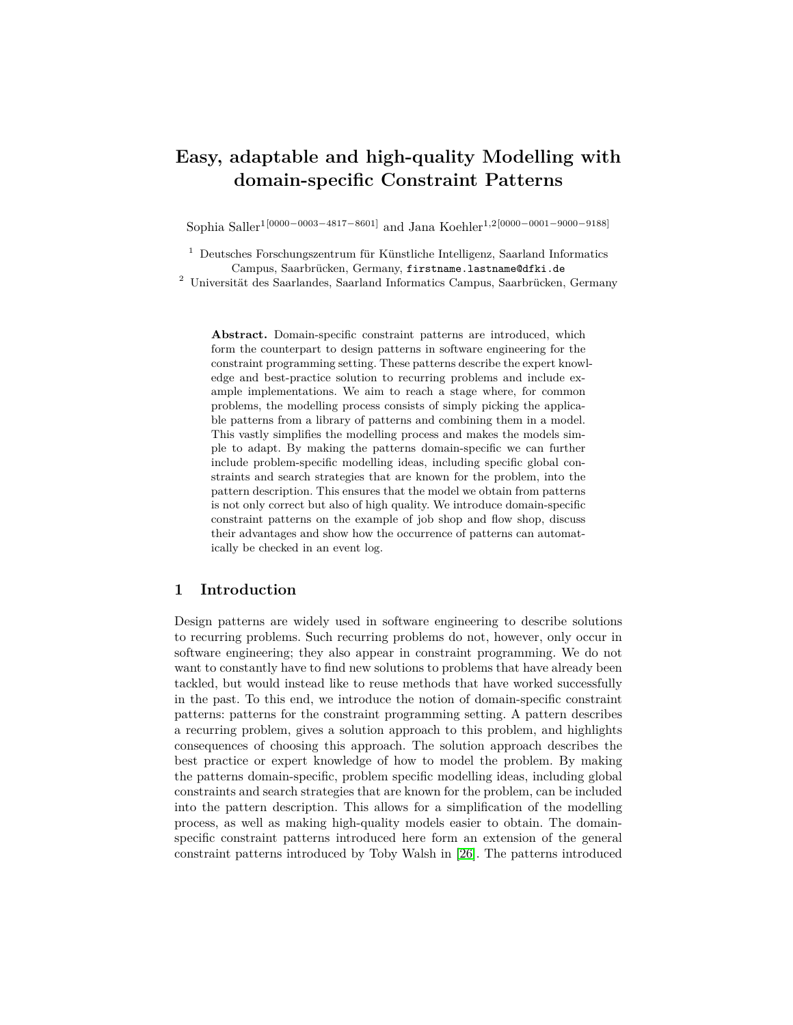# **Easy, adaptable and high-quality Modelling with domain-specific Constraint Patterns**

Sophia Saller<sup>1</sup>[0000−0003−4817−8601] and Jana Koehler<sup>1,2</sup>[0000−0001−9000−9188]

 $<sup>1</sup>$  Deutsches Forschungszentrum für Künstliche Intelligenz, Saarland Informatics</sup> Campus, Saarbrücken, Germany, firstname.lastname@dfki.de

 $2$  Universität des Saarlandes, Saarland Informatics Campus, Saarbrücken, Germany

**Abstract.** Domain-specific constraint patterns are introduced, which form the counterpart to design patterns in software engineering for the constraint programming setting. These patterns describe the expert knowledge and best-practice solution to recurring problems and include example implementations. We aim to reach a stage where, for common problems, the modelling process consists of simply picking the applicable patterns from a library of patterns and combining them in a model. This vastly simplifies the modelling process and makes the models simple to adapt. By making the patterns domain-specific we can further include problem-specific modelling ideas, including specific global constraints and search strategies that are known for the problem, into the pattern description. This ensures that the model we obtain from patterns is not only correct but also of high quality. We introduce domain-specific constraint patterns on the example of job shop and flow shop, discuss their advantages and show how the occurrence of patterns can automatically be checked in an event log.

## **1 Introduction**

Design patterns are widely used in software engineering to describe solutions to recurring problems. Such recurring problems do not, however, only occur in software engineering; they also appear in constraint programming. We do not want to constantly have to find new solutions to problems that have already been tackled, but would instead like to reuse methods that have worked successfully in the past. To this end, we introduce the notion of domain-specific constraint patterns: patterns for the constraint programming setting. A pattern describes a recurring problem, gives a solution approach to this problem, and highlights consequences of choosing this approach. The solution approach describes the best practice or expert knowledge of how to model the problem. By making the patterns domain-specific, problem specific modelling ideas, including global constraints and search strategies that are known for the problem, can be included into the pattern description. This allows for a simplification of the modelling process, as well as making high-quality models easier to obtain. The domainspecific constraint patterns introduced here form an extension of the general constraint patterns introduced by Toby Walsh in [\[26\]](#page-15-0). The patterns introduced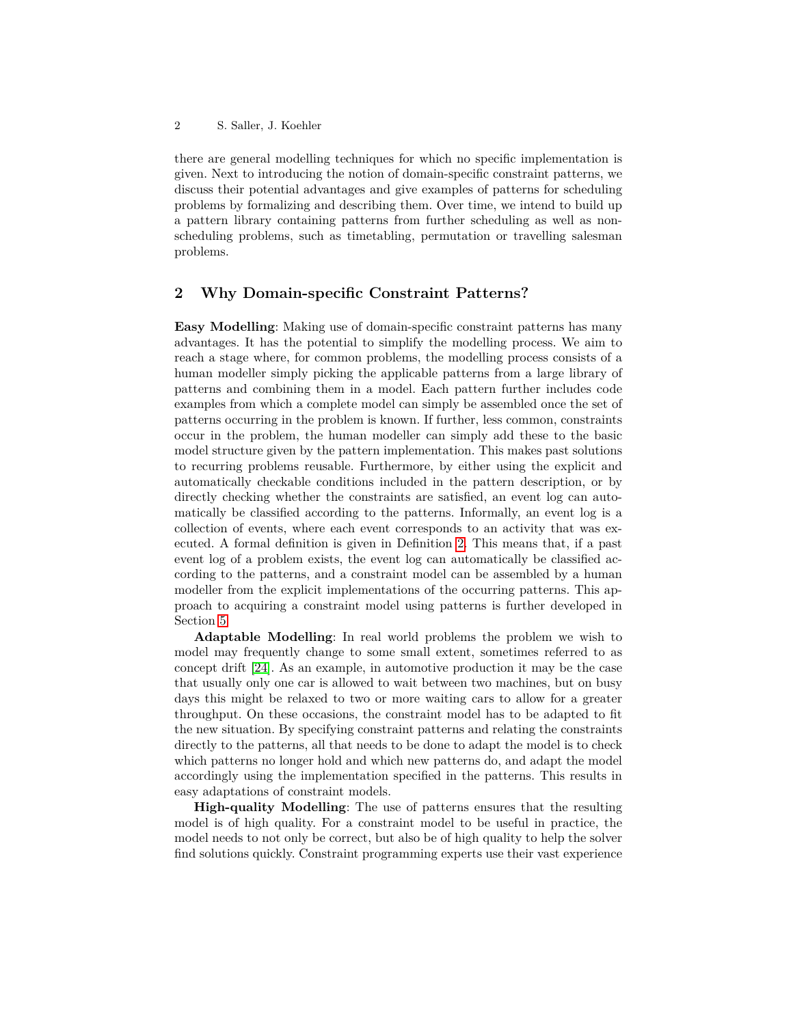there are general modelling techniques for which no specific implementation is given. Next to introducing the notion of domain-specific constraint patterns, we discuss their potential advantages and give examples of patterns for scheduling problems by formalizing and describing them. Over time, we intend to build up a pattern library containing patterns from further scheduling as well as nonscheduling problems, such as timetabling, permutation or travelling salesman problems.

### **2 Why Domain-specific Constraint Patterns?**

**Easy Modelling**: Making use of domain-specific constraint patterns has many advantages. It has the potential to simplify the modelling process. We aim to reach a stage where, for common problems, the modelling process consists of a human modeller simply picking the applicable patterns from a large library of patterns and combining them in a model. Each pattern further includes code examples from which a complete model can simply be assembled once the set of patterns occurring in the problem is known. If further, less common, constraints occur in the problem, the human modeller can simply add these to the basic model structure given by the pattern implementation. This makes past solutions to recurring problems reusable. Furthermore, by either using the explicit and automatically checkable conditions included in the pattern description, or by directly checking whether the constraints are satisfied, an event log can automatically be classified according to the patterns. Informally, an event log is a collection of events, where each event corresponds to an activity that was executed. A formal definition is given in Definition [2.](#page-9-0) This means that, if a past event log of a problem exists, the event log can automatically be classified according to the patterns, and a constraint model can be assembled by a human modeller from the explicit implementations of the occurring patterns. This approach to acquiring a constraint model using patterns is further developed in Section [5.](#page-9-1)

**Adaptable Modelling**: In real world problems the problem we wish to model may frequently change to some small extent, sometimes referred to as concept drift [\[24\]](#page-15-1). As an example, in automotive production it may be the case that usually only one car is allowed to wait between two machines, but on busy days this might be relaxed to two or more waiting cars to allow for a greater throughput. On these occasions, the constraint model has to be adapted to fit the new situation. By specifying constraint patterns and relating the constraints directly to the patterns, all that needs to be done to adapt the model is to check which patterns no longer hold and which new patterns do, and adapt the model accordingly using the implementation specified in the patterns. This results in easy adaptations of constraint models.

**High-quality Modelling**: The use of patterns ensures that the resulting model is of high quality. For a constraint model to be useful in practice, the model needs to not only be correct, but also be of high quality to help the solver find solutions quickly. Constraint programming experts use their vast experience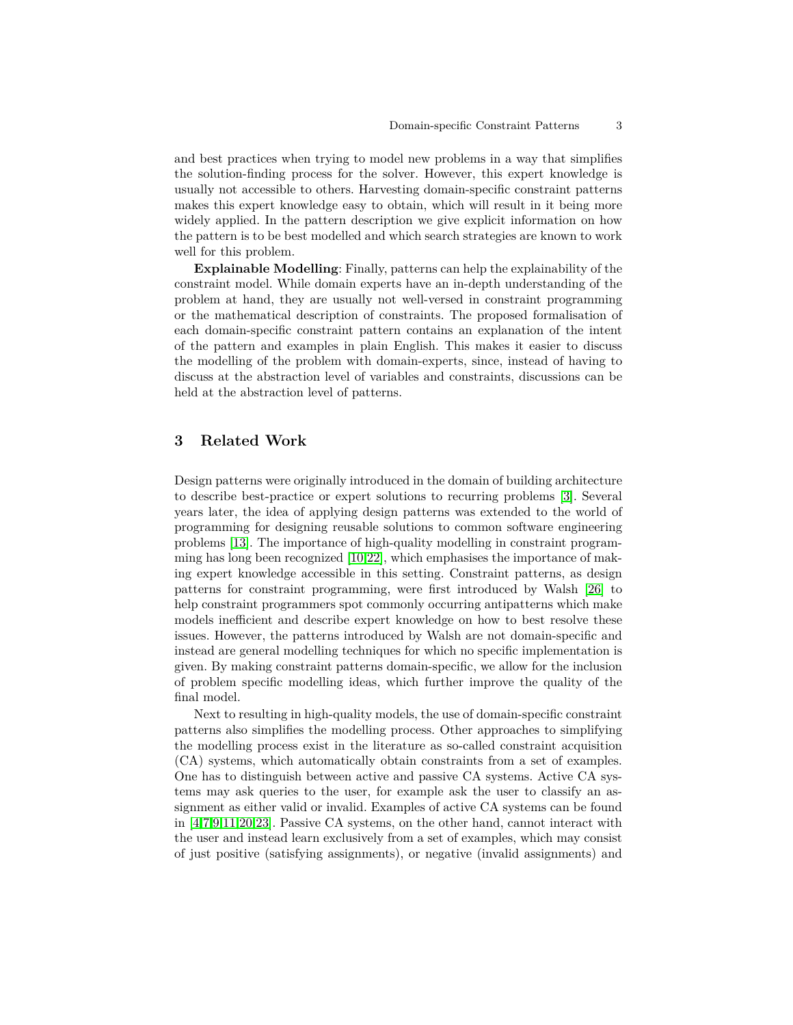and best practices when trying to model new problems in a way that simplifies the solution-finding process for the solver. However, this expert knowledge is usually not accessible to others. Harvesting domain-specific constraint patterns makes this expert knowledge easy to obtain, which will result in it being more widely applied. In the pattern description we give explicit information on how the pattern is to be best modelled and which search strategies are known to work well for this problem.

**Explainable Modelling**: Finally, patterns can help the explainability of the constraint model. While domain experts have an in-depth understanding of the problem at hand, they are usually not well-versed in constraint programming or the mathematical description of constraints. The proposed formalisation of each domain-specific constraint pattern contains an explanation of the intent of the pattern and examples in plain English. This makes it easier to discuss the modelling of the problem with domain-experts, since, instead of having to discuss at the abstraction level of variables and constraints, discussions can be held at the abstraction level of patterns.

# **3 Related Work**

Design patterns were originally introduced in the domain of building architecture to describe best-practice or expert solutions to recurring problems [\[3\]](#page-14-0). Several years later, the idea of applying design patterns was extended to the world of programming for designing reusable solutions to common software engineering problems [\[13\]](#page-15-2). The importance of high-quality modelling in constraint programming has long been recognized [\[10,](#page-15-3)[22\]](#page-15-4), which emphasises the importance of making expert knowledge accessible in this setting. Constraint patterns, as design patterns for constraint programming, were first introduced by Walsh [\[26\]](#page-15-0) to help constraint programmers spot commonly occurring antipatterns which make models inefficient and describe expert knowledge on how to best resolve these issues. However, the patterns introduced by Walsh are not domain-specific and instead are general modelling techniques for which no specific implementation is given. By making constraint patterns domain-specific, we allow for the inclusion of problem specific modelling ideas, which further improve the quality of the final model.

Next to resulting in high-quality models, the use of domain-specific constraint patterns also simplifies the modelling process. Other approaches to simplifying the modelling process exist in the literature as so-called constraint acquisition (CA) systems, which automatically obtain constraints from a set of examples. One has to distinguish between active and passive CA systems. Active CA systems may ask queries to the user, for example ask the user to classify an assignment as either valid or invalid. Examples of active CA systems can be found in [\[4,](#page-14-1)[7](#page-14-2)[,9](#page-14-3)[,11,](#page-15-5)[20,](#page-15-6)[23\]](#page-15-7). Passive CA systems, on the other hand, cannot interact with the user and instead learn exclusively from a set of examples, which may consist of just positive (satisfying assignments), or negative (invalid assignments) and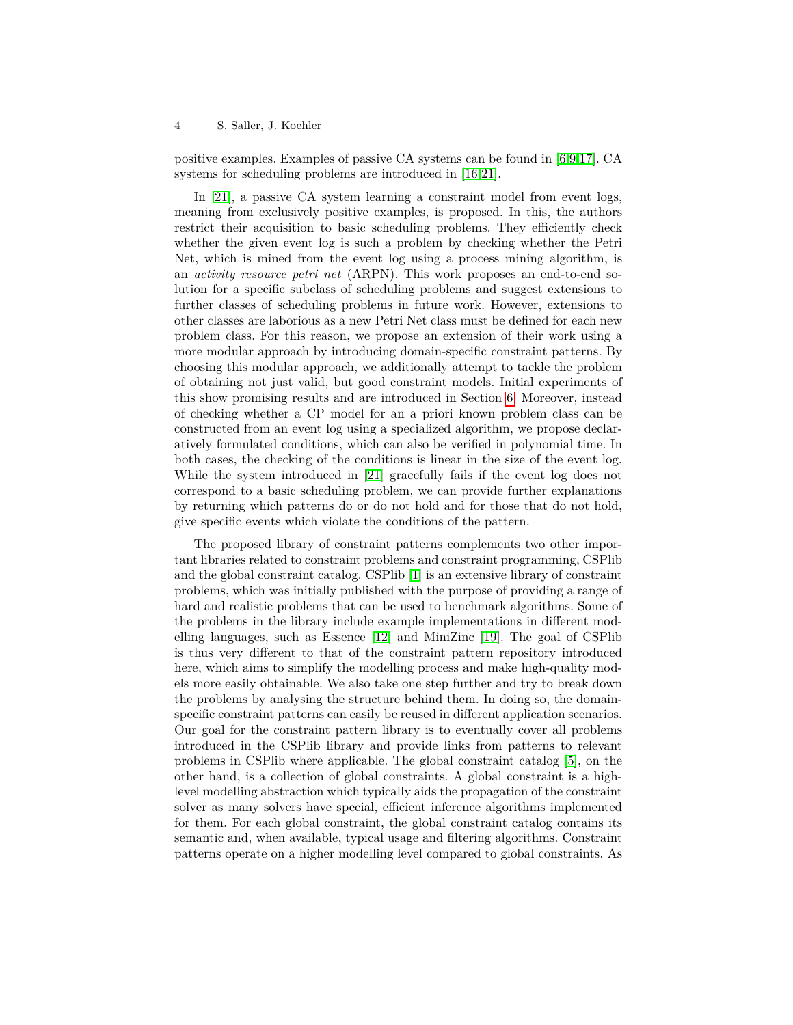positive examples. Examples of passive CA systems can be found in [\[6,](#page-14-4)[9,](#page-14-3)[17\]](#page-15-8). CA systems for scheduling problems are introduced in [\[16,](#page-15-9)[21\]](#page-15-10).

In [\[21\]](#page-15-10), a passive CA system learning a constraint model from event logs, meaning from exclusively positive examples, is proposed. In this, the authors restrict their acquisition to basic scheduling problems. They efficiently check whether the given event log is such a problem by checking whether the Petri Net, which is mined from the event log using a process mining algorithm, is an *activity resource petri net* (ARPN). This work proposes an end-to-end solution for a specific subclass of scheduling problems and suggest extensions to further classes of scheduling problems in future work. However, extensions to other classes are laborious as a new Petri Net class must be defined for each new problem class. For this reason, we propose an extension of their work using a more modular approach by introducing domain-specific constraint patterns. By choosing this modular approach, we additionally attempt to tackle the problem of obtaining not just valid, but good constraint models. Initial experiments of this show promising results and are introduced in Section [6.](#page-12-0) Moreover, instead of checking whether a CP model for an a priori known problem class can be constructed from an event log using a specialized algorithm, we propose declaratively formulated conditions, which can also be verified in polynomial time. In both cases, the checking of the conditions is linear in the size of the event log. While the system introduced in [\[21\]](#page-15-10) gracefully fails if the event log does not correspond to a basic scheduling problem, we can provide further explanations by returning which patterns do or do not hold and for those that do not hold, give specific events which violate the conditions of the pattern.

The proposed library of constraint patterns complements two other important libraries related to constraint problems and constraint programming, CSPlib and the global constraint catalog. CSPlib [\[1\]](#page-14-5) is an extensive library of constraint problems, which was initially published with the purpose of providing a range of hard and realistic problems that can be used to benchmark algorithms. Some of the problems in the library include example implementations in different modelling languages, such as Essence [\[12\]](#page-15-11) and MiniZinc [\[19\]](#page-15-12). The goal of CSPlib is thus very different to that of the constraint pattern repository introduced here, which aims to simplify the modelling process and make high-quality models more easily obtainable. We also take one step further and try to break down the problems by analysing the structure behind them. In doing so, the domainspecific constraint patterns can easily be reused in different application scenarios. Our goal for the constraint pattern library is to eventually cover all problems introduced in the CSPlib library and provide links from patterns to relevant problems in CSPlib where applicable. The global constraint catalog [\[5\]](#page-14-6), on the other hand, is a collection of global constraints. A global constraint is a highlevel modelling abstraction which typically aids the propagation of the constraint solver as many solvers have special, efficient inference algorithms implemented for them. For each global constraint, the global constraint catalog contains its semantic and, when available, typical usage and filtering algorithms. Constraint patterns operate on a higher modelling level compared to global constraints. As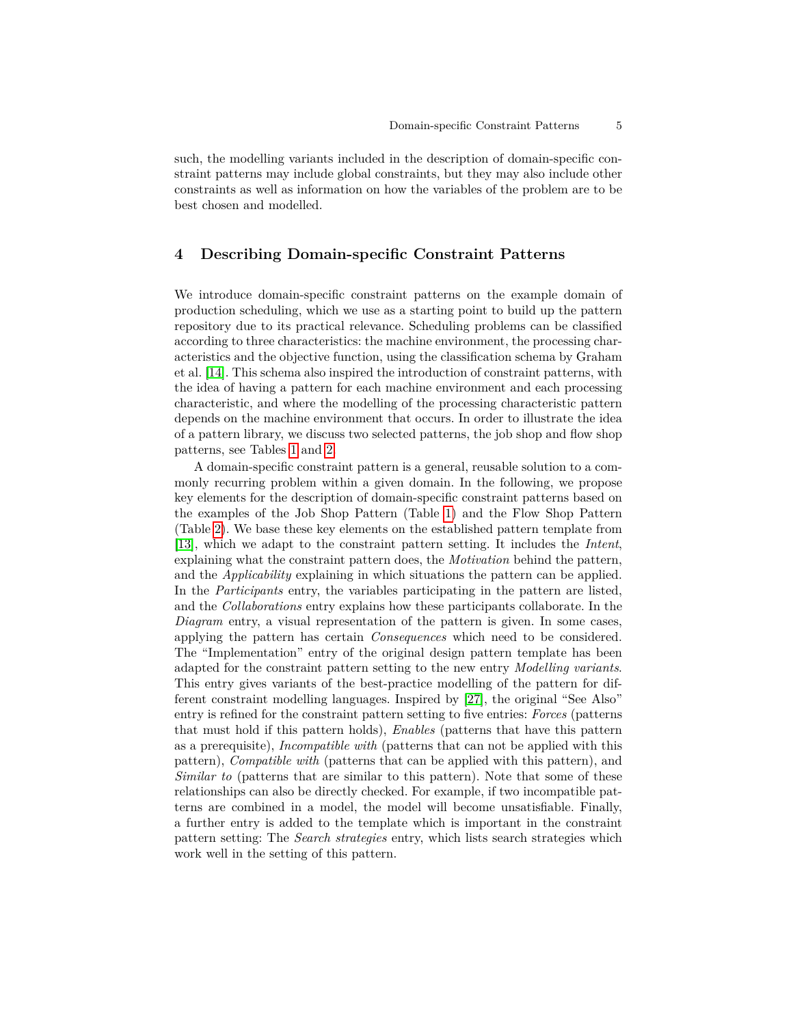such, the modelling variants included in the description of domain-specific constraint patterns may include global constraints, but they may also include other constraints as well as information on how the variables of the problem are to be best chosen and modelled.

## **4 Describing Domain-specific Constraint Patterns**

We introduce domain-specific constraint patterns on the example domain of production scheduling, which we use as a starting point to build up the pattern repository due to its practical relevance. Scheduling problems can be classified according to three characteristics: the machine environment, the processing characteristics and the objective function, using the classification schema by Graham et al. [\[14\]](#page-15-13). This schema also inspired the introduction of constraint patterns, with the idea of having a pattern for each machine environment and each processing characteristic, and where the modelling of the processing characteristic pattern depends on the machine environment that occurs. In order to illustrate the idea of a pattern library, we discuss two selected patterns, the job shop and flow shop patterns, see Tables [1](#page-7-0) and [2.](#page-8-0)

A domain-specific constraint pattern is a general, reusable solution to a commonly recurring problem within a given domain. In the following, we propose key elements for the description of domain-specific constraint patterns based on the examples of the Job Shop Pattern (Table [1\)](#page-7-0) and the Flow Shop Pattern (Table [2\)](#page-8-0). We base these key elements on the established pattern template from [\[13\]](#page-15-2), which we adapt to the constraint pattern setting. It includes the *Intent*, explaining what the constraint pattern does, the *Motivation* behind the pattern, and the *Applicability* explaining in which situations the pattern can be applied. In the *Participants* entry, the variables participating in the pattern are listed, and the *Collaborations* entry explains how these participants collaborate. In the *Diagram* entry, a visual representation of the pattern is given. In some cases, applying the pattern has certain *Consequences* which need to be considered. The "Implementation" entry of the original design pattern template has been adapted for the constraint pattern setting to the new entry *Modelling variants*. This entry gives variants of the best-practice modelling of the pattern for different constraint modelling languages. Inspired by [\[27\]](#page-15-14), the original "See Also" entry is refined for the constraint pattern setting to five entries: *Forces* (patterns that must hold if this pattern holds), *Enables* (patterns that have this pattern as a prerequisite), *Incompatible with* (patterns that can not be applied with this pattern), *Compatible with* (patterns that can be applied with this pattern), and *Similar to* (patterns that are similar to this pattern). Note that some of these relationships can also be directly checked. For example, if two incompatible patterns are combined in a model, the model will become unsatisfiable. Finally, a further entry is added to the template which is important in the constraint pattern setting: The *Search strategies* entry, which lists search strategies which work well in the setting of this pattern.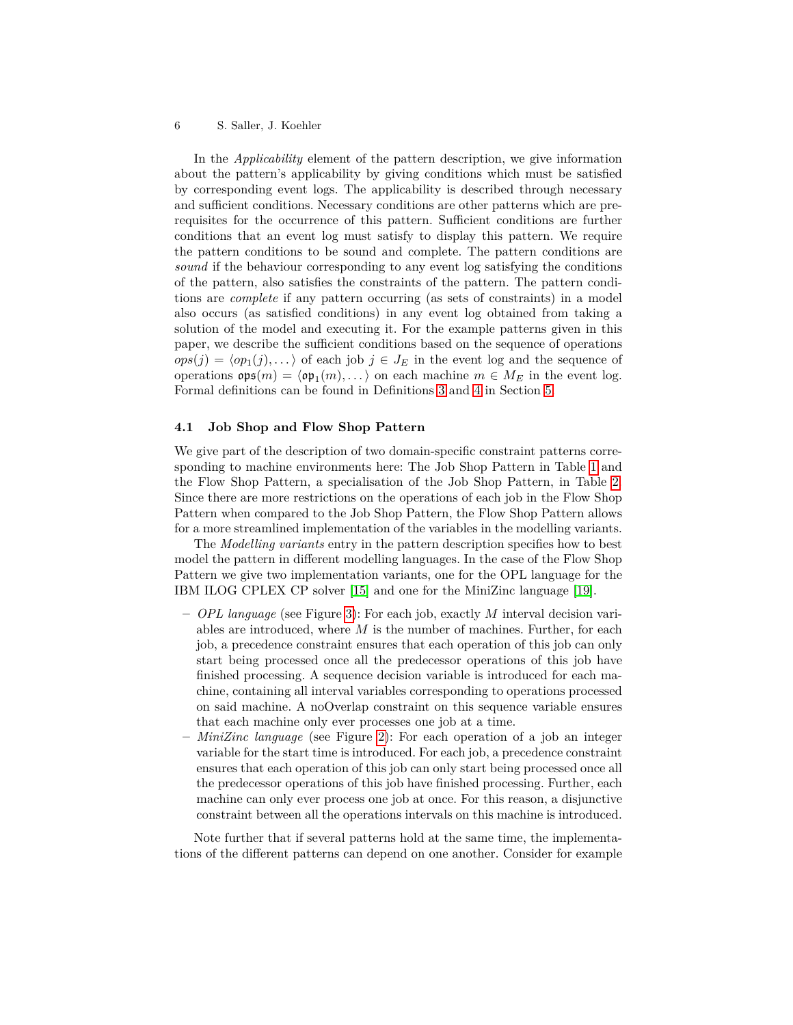In the *Applicability* element of the pattern description, we give information about the pattern's applicability by giving conditions which must be satisfied by corresponding event logs. The applicability is described through necessary and sufficient conditions. Necessary conditions are other patterns which are prerequisites for the occurrence of this pattern. Sufficient conditions are further conditions that an event log must satisfy to display this pattern. We require the pattern conditions to be sound and complete. The pattern conditions are *sound* if the behaviour corresponding to any event log satisfying the conditions of the pattern, also satisfies the constraints of the pattern. The pattern conditions are *complete* if any pattern occurring (as sets of constraints) in a model also occurs (as satisfied conditions) in any event log obtained from taking a solution of the model and executing it. For the example patterns given in this paper, we describe the sufficient conditions based on the sequence of operations  $ops(j) = \langle op_1(j), \ldots \rangle$  of each job  $j \in J_E$  in the event log and the sequence of operations  $\mathfrak{ops}(m) = \langle \mathfrak{op}_1(m), \ldots \rangle$  on each machine  $m \in M_E$  in the event log. Formal definitions can be found in Definitions [3](#page-10-0) and [4](#page-10-1) in Section [5.](#page-9-1)

### **4.1 Job Shop and Flow Shop Pattern**

We give part of the description of two domain-specific constraint patterns corresponding to machine environments here: The Job Shop Pattern in Table [1](#page-7-0) and the Flow Shop Pattern, a specialisation of the Job Shop Pattern, in Table [2.](#page-8-0) Since there are more restrictions on the operations of each job in the Flow Shop Pattern when compared to the Job Shop Pattern, the Flow Shop Pattern allows for a more streamlined implementation of the variables in the modelling variants.

The *Modelling variants* entry in the pattern description specifies how to best model the pattern in different modelling languages. In the case of the Flow Shop Pattern we give two implementation variants, one for the OPL language for the IBM ILOG CPLEX CP solver [\[15\]](#page-15-15) and one for the MiniZinc language [\[19\]](#page-15-12).

- **–** *OPL language* (see Figure [3\)](#page-9-2): For each job, exactly *M* interval decision variables are introduced, where *M* is the number of machines. Further, for each job, a precedence constraint ensures that each operation of this job can only start being processed once all the predecessor operations of this job have finished processing. A sequence decision variable is introduced for each machine, containing all interval variables corresponding to operations processed on said machine. A noOverlap constraint on this sequence variable ensures that each machine only ever processes one job at a time.
- **–** *MiniZinc language* (see Figure [2\)](#page-8-1): For each operation of a job an integer variable for the start time is introduced. For each job, a precedence constraint ensures that each operation of this job can only start being processed once all the predecessor operations of this job have finished processing. Further, each machine can only ever process one job at once. For this reason, a disjunctive constraint between all the operations intervals on this machine is introduced.

Note further that if several patterns hold at the same time, the implementations of the different patterns can depend on one another. Consider for example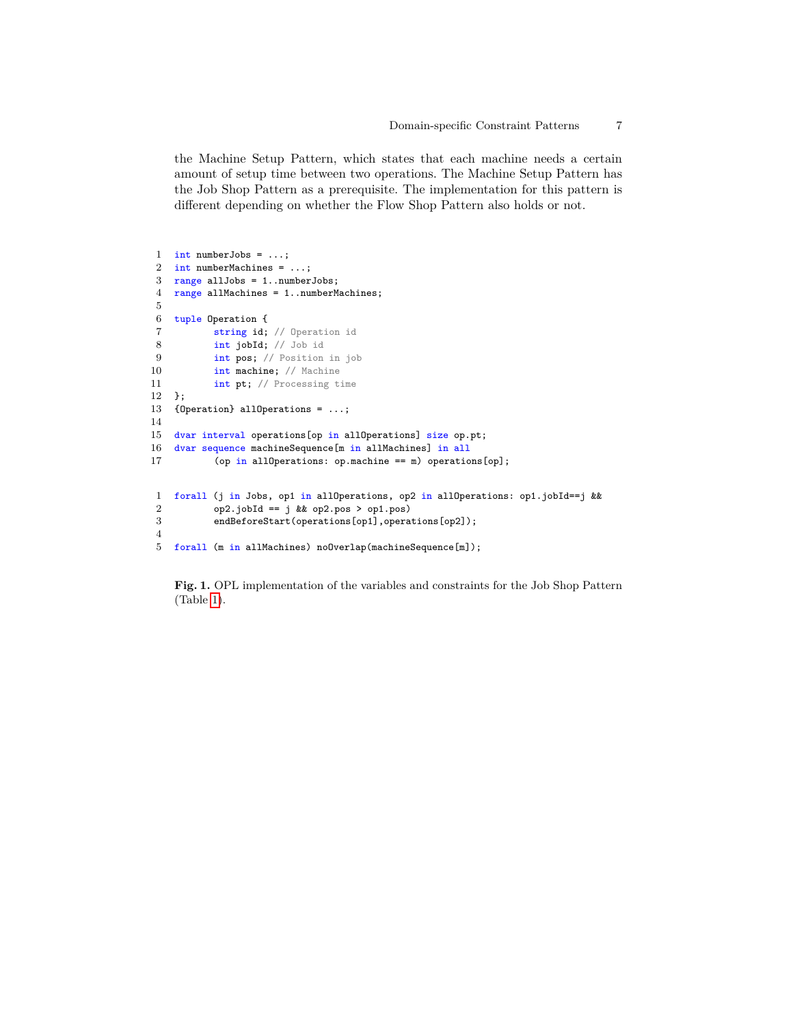the Machine Setup Pattern, which states that each machine needs a certain amount of setup time between two operations. The Machine Setup Pattern has the Job Shop Pattern as a prerequisite. The implementation for this pattern is different depending on whether the Flow Shop Pattern also holds or not.

```
1 int numberJobs = ...;
2 int numberMachines = ...;
3 range allJobs = 1..numberJobs;
4 range allMachines = 1..numberMachines;
5
6 tuple Operation {
7 string id; // Operation id
8 int jobId; // Job id
9 int pos; // Position in job<br>10 int machine: // Machine
           int machine; // Machine
11 int pt; // Processing time
12 };
13 {Operation} allOperations = ...;
14
15 dvar interval operations[op in allOperations] size op.pt;
16 dvar sequence machineSequence[m in allMachines] in all
17 (op in allOperations: op.machine == m) operations[op];
1 forall (j in Jobs, op1 in allOperations, op2 in allOperations: op1.jobId==j &&
2 op2.jobId == j && op2.pos > op1.pos)
3 endBeforeStart(operations[op1],operations[op2]);
 4
5 forall (m in allMachines) noOverlap(machineSequence[m]);
```
<span id="page-6-0"></span>**Fig. 1.** OPL implementation of the variables and constraints for the Job Shop Pattern (Table [1\)](#page-7-0).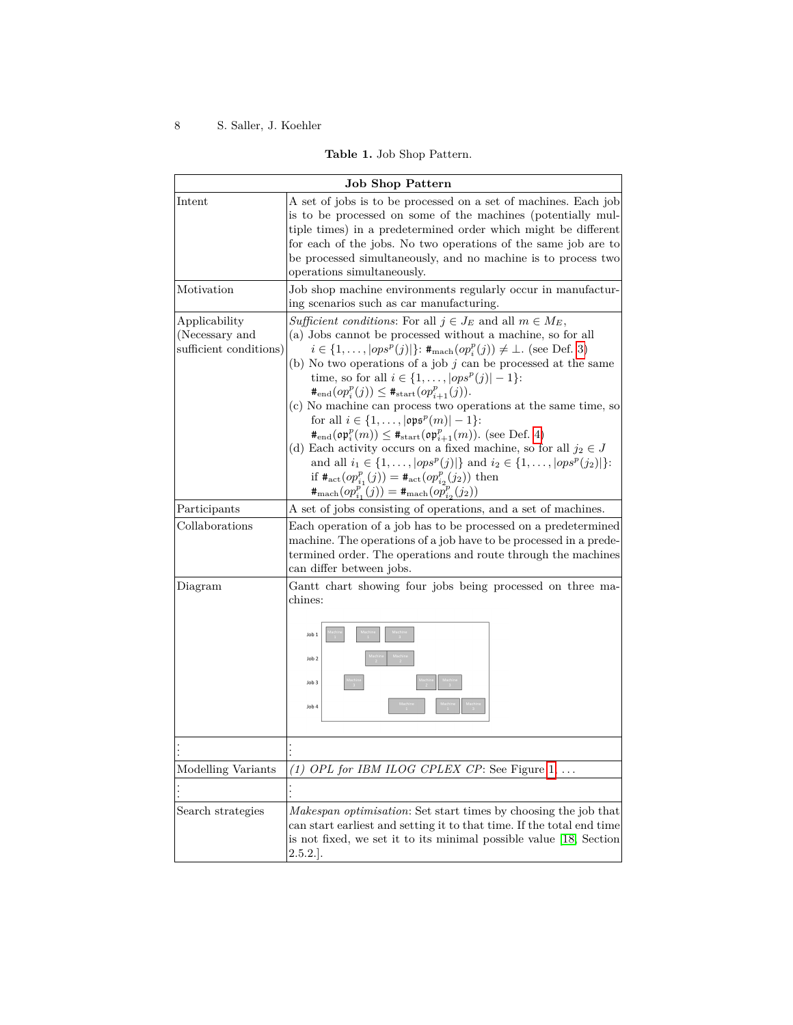# **Table 1.** Job Shop Pattern.

<span id="page-7-0"></span>

| <b>Job Shop Pattern</b>                                   |                                                                                                                                                                                                                                                                                                                                                                                                                                                                                                                                                                                                                                                                                                                                                                                                                                                                                                                                                                 |  |  |  |  |
|-----------------------------------------------------------|-----------------------------------------------------------------------------------------------------------------------------------------------------------------------------------------------------------------------------------------------------------------------------------------------------------------------------------------------------------------------------------------------------------------------------------------------------------------------------------------------------------------------------------------------------------------------------------------------------------------------------------------------------------------------------------------------------------------------------------------------------------------------------------------------------------------------------------------------------------------------------------------------------------------------------------------------------------------|--|--|--|--|
| Intent                                                    | A set of jobs is to be processed on a set of machines. Each job<br>is to be processed on some of the machines (potentially mul-<br>tiple times) in a predetermined order which might be different<br>for each of the jobs. No two operations of the same job are to<br>be processed simultaneously, and no machine is to process two<br>operations simultaneously.                                                                                                                                                                                                                                                                                                                                                                                                                                                                                                                                                                                              |  |  |  |  |
| Motivation                                                | Job shop machine environments regularly occur in manufactur-<br>ing scenarios such as car manufacturing.                                                                                                                                                                                                                                                                                                                                                                                                                                                                                                                                                                                                                                                                                                                                                                                                                                                        |  |  |  |  |
| Applicability<br>(Necessary and<br>sufficient conditions) | Sufficient conditions: For all $j \in J_E$ and all $m \in M_E$ ,<br>(a) Jobs cannot be processed without a machine, so for all<br>$i \in \{1, ,  ops^p(j) \}$ : $\#_{\text{mach}}(op_i^p(j)) \neq \bot$ . (see Def. 3)<br>(b) No two operations of a job $j$ can be processed at the same<br>time, so for all $i \in \{1, ,  ops^p(j)  - 1\}$ :<br>$#_{\text{end}}(op_i^p(j)) \leq #_{\text{start}}(op_{i+1}^p(j)).$<br>(c) No machine can process two operations at the same time, so<br>for all $i \in \{1, ,  \text{ops}^p(m)  - 1\}$ :<br>$#_{\text{end}}(\mathfrak{op}_i^p(m)) \leq #_{\text{start}}(\mathfrak{op}_{i+1}^p(m))$ . (see Def. 4)<br>(d) Each activity occurs on a fixed machine, so for all $j_2 \in J$<br>and all $i_1 \in \{1, ,  ops^p(j) \}$ and $i_2 \in \{1, ,  ops^p(j_2) \}$ :<br>if $\#_{\text{act}}(op_{i_1}^p(j)) = \#_{\text{act}}(op_{i_2}^p(j_2))$ then<br>$#_{\text{mach}}(op_{i_1}^p(j)) = #_{\text{mach}}(op_{i_2}^p(j_2))$ |  |  |  |  |
| Participants                                              | A set of jobs consisting of operations, and a set of machines.                                                                                                                                                                                                                                                                                                                                                                                                                                                                                                                                                                                                                                                                                                                                                                                                                                                                                                  |  |  |  |  |
| Collaborations                                            | Each operation of a job has to be processed on a predetermined<br>machine. The operations of a job have to be processed in a prede-<br>termined order. The operations and route through the machines<br>can differ between jobs.                                                                                                                                                                                                                                                                                                                                                                                                                                                                                                                                                                                                                                                                                                                                |  |  |  |  |
| Diagram                                                   | Gantt chart showing four jobs being processed on three ma-<br>chines:<br>Job 1<br>Job 2<br>Job 3<br>Job 4                                                                                                                                                                                                                                                                                                                                                                                                                                                                                                                                                                                                                                                                                                                                                                                                                                                       |  |  |  |  |
|                                                           |                                                                                                                                                                                                                                                                                                                                                                                                                                                                                                                                                                                                                                                                                                                                                                                                                                                                                                                                                                 |  |  |  |  |
| Modelling Variants                                        | (1) OPL for IBM ILOG CPLEX CP: See Figure $1, \ldots$                                                                                                                                                                                                                                                                                                                                                                                                                                                                                                                                                                                                                                                                                                                                                                                                                                                                                                           |  |  |  |  |
|                                                           | l                                                                                                                                                                                                                                                                                                                                                                                                                                                                                                                                                                                                                                                                                                                                                                                                                                                                                                                                                               |  |  |  |  |
| Search strategies                                         | <i>Makespan optimisation</i> : Set start times by choosing the job that<br>can start earliest and setting it to that time. If the total end time<br>is not fixed, we set it to its minimal possible value [18, Section<br>$2.5.2.$ .                                                                                                                                                                                                                                                                                                                                                                                                                                                                                                                                                                                                                                                                                                                            |  |  |  |  |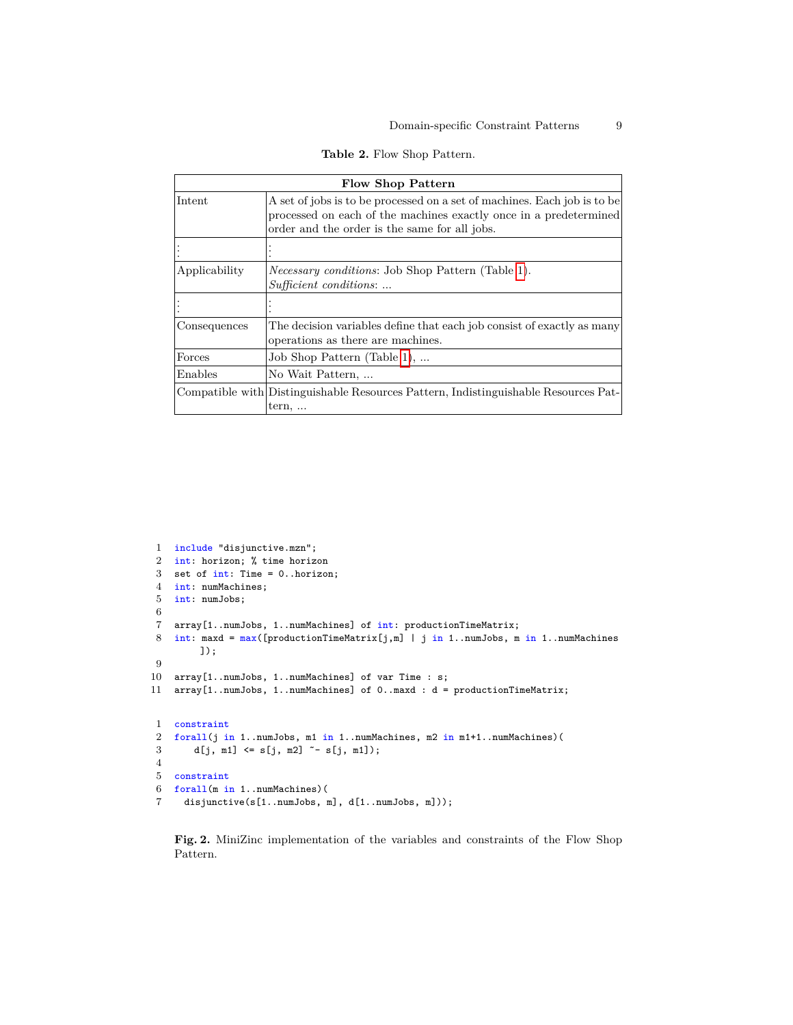| Table 2. Flow Shop Pattern. |  |  |
|-----------------------------|--|--|
|-----------------------------|--|--|

<span id="page-8-0"></span>

| <b>Flow Shop Pattern</b> |                                                                                                                                                                                                |  |  |  |  |
|--------------------------|------------------------------------------------------------------------------------------------------------------------------------------------------------------------------------------------|--|--|--|--|
| Intent                   | A set of jobs is to be processed on a set of machines. Each job is to be<br>processed on each of the machines exactly once in a predetermined<br>order and the order is the same for all jobs. |  |  |  |  |
|                          |                                                                                                                                                                                                |  |  |  |  |
| Applicability            | <i>Necessary conditions:</i> Job Shop Pattern (Table 1).<br>Sufficient conditions:                                                                                                             |  |  |  |  |
|                          |                                                                                                                                                                                                |  |  |  |  |
| Consequences             | The decision variables define that each job consist of exactly as many<br>operations as there are machines.                                                                                    |  |  |  |  |
| Forces                   | Job Shop Pattern (Table 1),                                                                                                                                                                    |  |  |  |  |
| Enables                  | No Wait Pattern,                                                                                                                                                                               |  |  |  |  |
|                          | Compatible with Distinguishable Resources Pattern, Indistinguishable Resources Pat-<br>$tern, \ldots$                                                                                          |  |  |  |  |

```
1 include "disjunctive.mzn";
2 int: horizon; % time horizon
3 set of int: Time = 0..horizon;
4 int: numMachines;
5 int: numJobs;
6
7 array[1..numJobs, 1..numMachines] of int: productionTimeMatrix;
8 int: maxd = max([productionTimeMatrix[j,m] | j in 1..numJobs, m in 1..numMachines
        ]);
9
10 array[1..numJobs, 1..numMachines] of var Time : s;
11 array[1..numJobs, 1..numMachines] of 0..maxd : d = productionTimeMatrix;
1 constraint
2 forall(j in 1..numJobs, m1 in 1..numMachines, m2 in m1+1..numMachines)(
3 d[j, m1] \leq s[j, m2] \leq s[j, m1]);
4
5 constraint
6 forall(m in 1..numMachines)(
 7 disjunctive(s[1..numJobs, m], d[1..numJobs, m]));
```
<span id="page-8-1"></span>**Fig. 2.** MiniZinc implementation of the variables and constraints of the Flow Shop Pattern.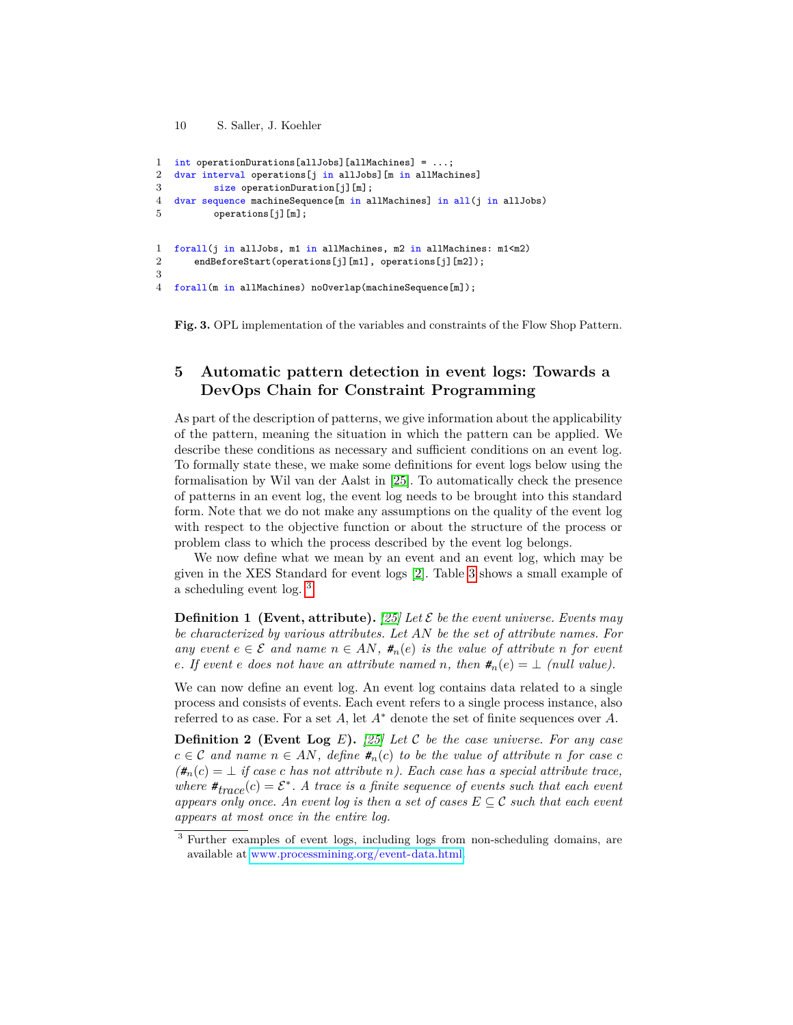```
10 S. Saller, J. Koehler
```

```
1 int operationDurations[allJobs][allMachines] = ...;
2 dvar interval operations[j in allJobs][m in allMachines]
3 size operationDuration[j][m];
4 dvar sequence machineSequence[m in allMachines] in all(j in allJobs)
5 operations [j] [m];
1 forall(j in allJobs, m1 in allMachines, m2 in allMachines: m1<m2)
2 endBeforeStart(operations[j][m1], operations[j][m2]);
3
4 forall(m in allMachines) noOverlap(machineSequence[m]);
```
<span id="page-9-2"></span>**Fig. 3.** OPL implementation of the variables and constraints of the Flow Shop Pattern.

# <span id="page-9-1"></span>**5 Automatic pattern detection in event logs: Towards a DevOps Chain for Constraint Programming**

As part of the description of patterns, we give information about the applicability of the pattern, meaning the situation in which the pattern can be applied. We describe these conditions as necessary and sufficient conditions on an event log. To formally state these, we make some definitions for event logs below using the formalisation by Wil van der Aalst in [\[25\]](#page-15-17). To automatically check the presence of patterns in an event log, the event log needs to be brought into this standard form. Note that we do not make any assumptions on the quality of the event log with respect to the objective function or about the structure of the process or problem class to which the process described by the event log belongs.

We now define what we mean by an event and an event log, which may be given in the XES Standard for event logs [\[2\]](#page-14-7). Table [3](#page-10-2) shows a small example of a scheduling event log. [3](#page-9-3)

**Definition 1** (Event, attribute). [\[25\]](#page-15-17) Let  $\mathcal{E}$  be the event universe. Events may *be characterized by various attributes. Let AN be the set of attribute names. For any* event  $e \in \mathcal{E}$  and name  $n \in AN$ ,  $#_n(e)$  *is the value of attribute n for event e. If event e does not have an attribute named n, then*  $\sharp_n(e) = \bot$  *(null value).* 

<span id="page-9-0"></span>We can now define an event log. An event log contains data related to a single process and consists of events. Each event refers to a single process instance, also referred to as case. For a set *A*, let *A*<sup>∗</sup> denote the set of finite sequences over *A*.

**Definition 2 (Event Log** *E***).** *[\[25\]](#page-15-17) Let* C *be the case universe. For any case c* ∈ *C* and name  $n \in AN$ , define  $#_n(c)$  *to be the value of attribute n for case c*  $(\#_n(c) = \bot \text{ if } \text{ case } c \text{ has not attribute } n)$ . Each case has a special attribute trace, *where*  $\mathbf{H}_{trace}(c) = \mathcal{E}^*$ . A trace is a finite sequence of events such that each event *appears only once. An event log is then a set of cases*  $E \subseteq \mathcal{C}$  *such that each event appears at most once in the entire log.*

<span id="page-9-3"></span><sup>3</sup> Further examples of event logs, including logs from non-scheduling domains, are available at [www.processmining.org/event-data.html.](www.processmining.org/event-data.html)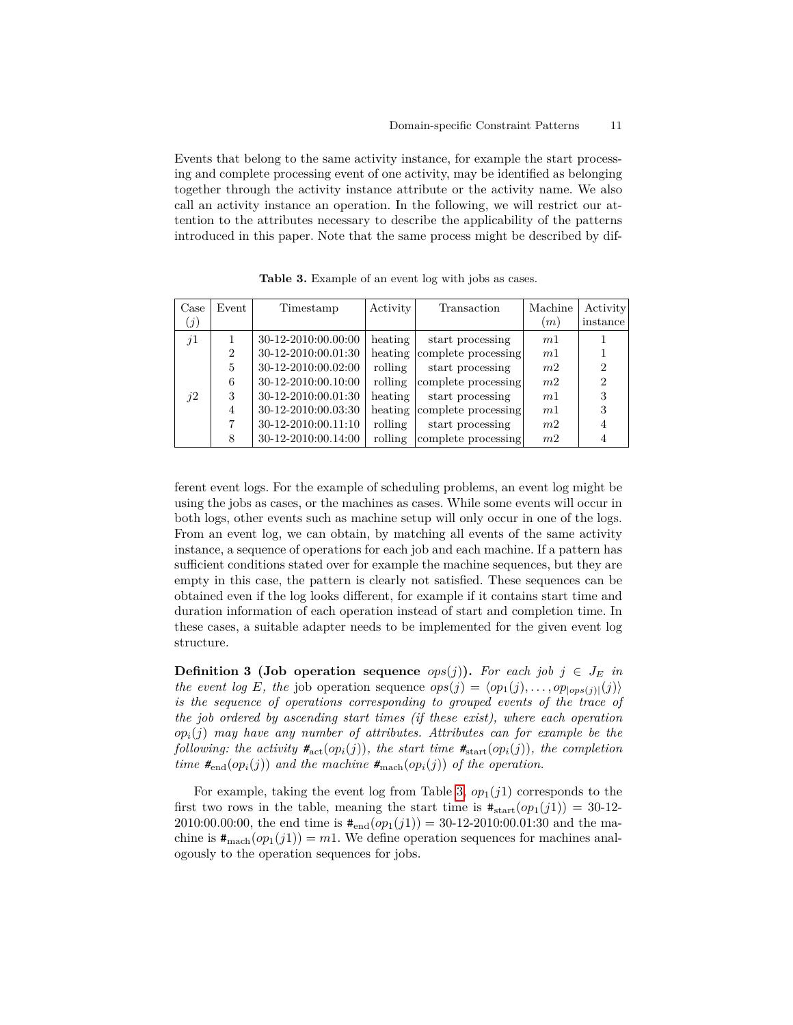Events that belong to the same activity instance, for example the start processing and complete processing event of one activity, may be identified as belonging together through the activity instance attribute or the activity name. We also call an activity instance an operation. In the following, we will restrict our attention to the attributes necessary to describe the applicability of the patterns introduced in this paper. Note that the same process might be described by dif-

<span id="page-10-2"></span>

| Case              | Event         | Timestamp           | Activity | Transaction         | Machine        | <b>Activity</b> |
|-------------------|---------------|---------------------|----------|---------------------|----------------|-----------------|
| $\left( j\right)$ |               |                     |          |                     | (m)            | instance        |
| j1                |               | 30-12-2010:00.00:00 | heating  | start processing    | m <sub>1</sub> |                 |
|                   | $\mathcal{D}$ | 30-12-2010:00.01:30 | heating  | complete processing | m <sub>1</sub> |                 |
|                   | 5             | 30-12-2010:00.02:00 | rolling  | start processing    | m <sub>2</sub> | $\overline{2}$  |
|                   | 6             | 30-12-2010:00.10:00 | rolling  | complete processing | m <sub>2</sub> | $\overline{2}$  |
| $\hat{1}2$        | 3             | 30-12-2010:00.01:30 | heating  | start processing    | m <sub>1</sub> | 3               |
|                   | 4             | 30-12-2010:00.03:30 | heating  | complete processing | m <sub>1</sub> | 3               |
|                   |               | 30-12-2010:00.11:10 | rolling  | start processing    | m <sub>2</sub> |                 |
|                   | 8             | 30-12-2010:00.14:00 | rolling  | complete processing | m <sub>2</sub> |                 |

**Table 3.** Example of an event log with jobs as cases.

ferent event logs. For the example of scheduling problems, an event log might be using the jobs as cases, or the machines as cases. While some events will occur in both logs, other events such as machine setup will only occur in one of the logs. From an event log, we can obtain, by matching all events of the same activity instance, a sequence of operations for each job and each machine. If a pattern has sufficient conditions stated over for example the machine sequences, but they are empty in this case, the pattern is clearly not satisfied. These sequences can be obtained even if the log looks different, for example if it contains start time and duration information of each operation instead of start and completion time. In these cases, a suitable adapter needs to be implemented for the given event log structure.

<span id="page-10-0"></span>**Definition 3 (Job operation sequence**  $ops(j)$ ). For each job  $j \in J_E$  in *the event log E, the job operation sequence*  $ops(j) = \langle op_1(j), \ldots, op_{\lfloor ops(j)\rfloor}(j) \rangle$ *is the sequence of operations corresponding to grouped events of the trace of the job ordered by ascending start times (if these exist), where each operation*  $op<sub>i</sub>(j)$  *may have any number of attributes. Attributes can for example be the following: the activity*  $#_{act}(op_i(j))$ *, the start time*  $#_{start}(op_i(j))$ *, the completion time*  $#_{\text{end}}(op_i(j))$  *and the machine*  $#_{\text{mach}}(op_i(j))$  *of the operation.* 

<span id="page-10-1"></span>For example, taking the event log from Table [3,](#page-10-2)  $op_1(j1)$  corresponds to the first two rows in the table, meaning the start time is  $\#_{start}(op_1(j1)) = 30-12-$ 2010:00.00:00, the end time is  $#_{\text{end}}(op_1(j1)) = 30-12-2010:00.01:30$  and the machine is  $\#_{\text{mach}}(op_1(j1)) = m1$ . We define operation sequences for machines analogously to the operation sequences for jobs.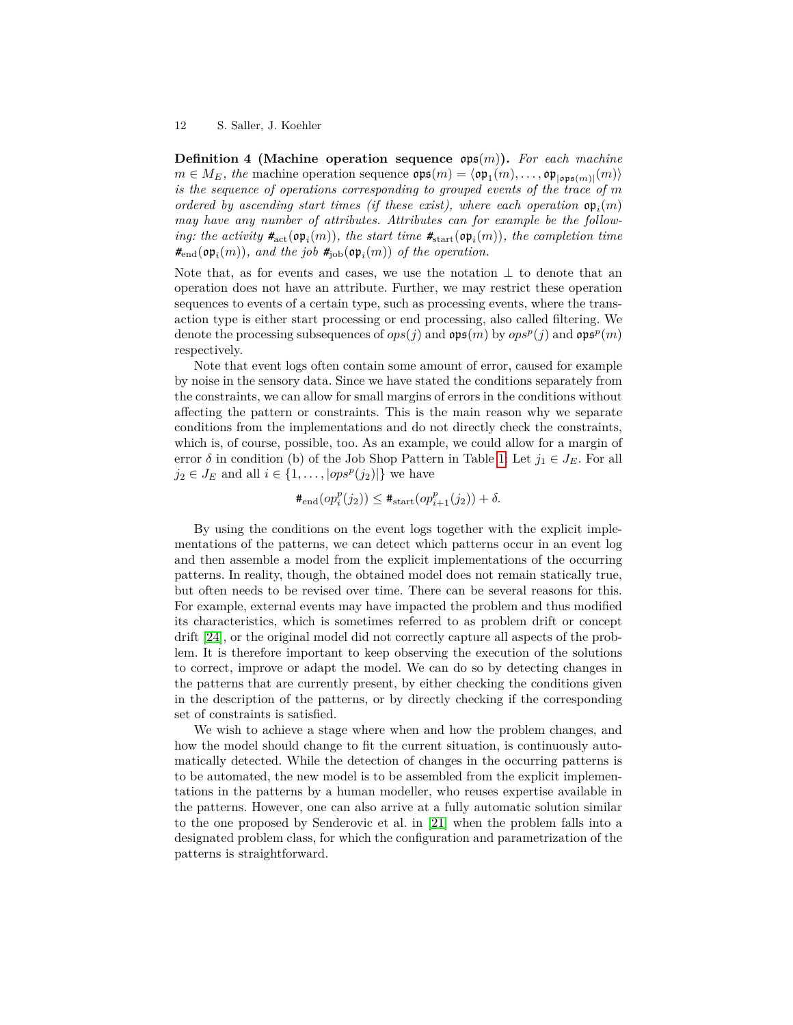**Definition 4 (Machine operation sequence** ops(*m*)**).** *For each machine*  $m \in M_E$ , the machine operation sequence  $\mathfrak{ops}(m) = \langle \mathfrak{op}_1(m), \ldots, \mathfrak{op}_{|\mathfrak{ops}(m)|}(m) \rangle$ *is the sequence of operations corresponding to grouped events of the trace of m ordered by ascending start times (if these exist), where each operation*  $\mathfrak{op}_i(m)$ *may have any number of attributes. Attributes can for example be the following: the activity*  $\#_{act}(op_i(m))$ *, the start time*  $\#_{start}(op_i(m))$ *, the completion time*  $#_{\text{end}}(\text{op}_i(m))$ , and the job  $#_{\text{job}}(\text{op}_i(m))$  of the operation.

Note that, as for events and cases, we use the notation  $\perp$  to denote that an operation does not have an attribute. Further, we may restrict these operation sequences to events of a certain type, such as processing events, where the transaction type is either start processing or end processing, also called filtering. We denote the processing subsequences of  $ops(j)$  and  $ops(p)$  by  $ops^p(j)$  and  $ops^p(m)$ respectively.

Note that event logs often contain some amount of error, caused for example by noise in the sensory data. Since we have stated the conditions separately from the constraints, we can allow for small margins of errors in the conditions without affecting the pattern or constraints. This is the main reason why we separate conditions from the implementations and do not directly check the constraints, which is, of course, possible, too. As an example, we could allow for a margin of error  $\delta$  in condition (b) of the Job Shop Pattern in Table [1:](#page-7-0) Let  $j_1 \in J_E$ . For all  $j_2 \in J_E$  and all  $i \in \{1, \ldots, |ops^p(j_2)|\}$  we have

$$
\#_{\text{end}}(op_i^p(j_2)) \leq \#_{\text{start}}(op_{i+1}^p(j_2)) + \delta.
$$

By using the conditions on the event logs together with the explicit implementations of the patterns, we can detect which patterns occur in an event log and then assemble a model from the explicit implementations of the occurring patterns. In reality, though, the obtained model does not remain statically true, but often needs to be revised over time. There can be several reasons for this. For example, external events may have impacted the problem and thus modified its characteristics, which is sometimes referred to as problem drift or concept drift [\[24\]](#page-15-1), or the original model did not correctly capture all aspects of the problem. It is therefore important to keep observing the execution of the solutions to correct, improve or adapt the model. We can do so by detecting changes in the patterns that are currently present, by either checking the conditions given in the description of the patterns, or by directly checking if the corresponding set of constraints is satisfied.

We wish to achieve a stage where when and how the problem changes, and how the model should change to fit the current situation, is continuously automatically detected. While the detection of changes in the occurring patterns is to be automated, the new model is to be assembled from the explicit implementations in the patterns by a human modeller, who reuses expertise available in the patterns. However, one can also arrive at a fully automatic solution similar to the one proposed by Senderovic et al. in [\[21\]](#page-15-10) when the problem falls into a designated problem class, for which the configuration and parametrization of the patterns is straightforward.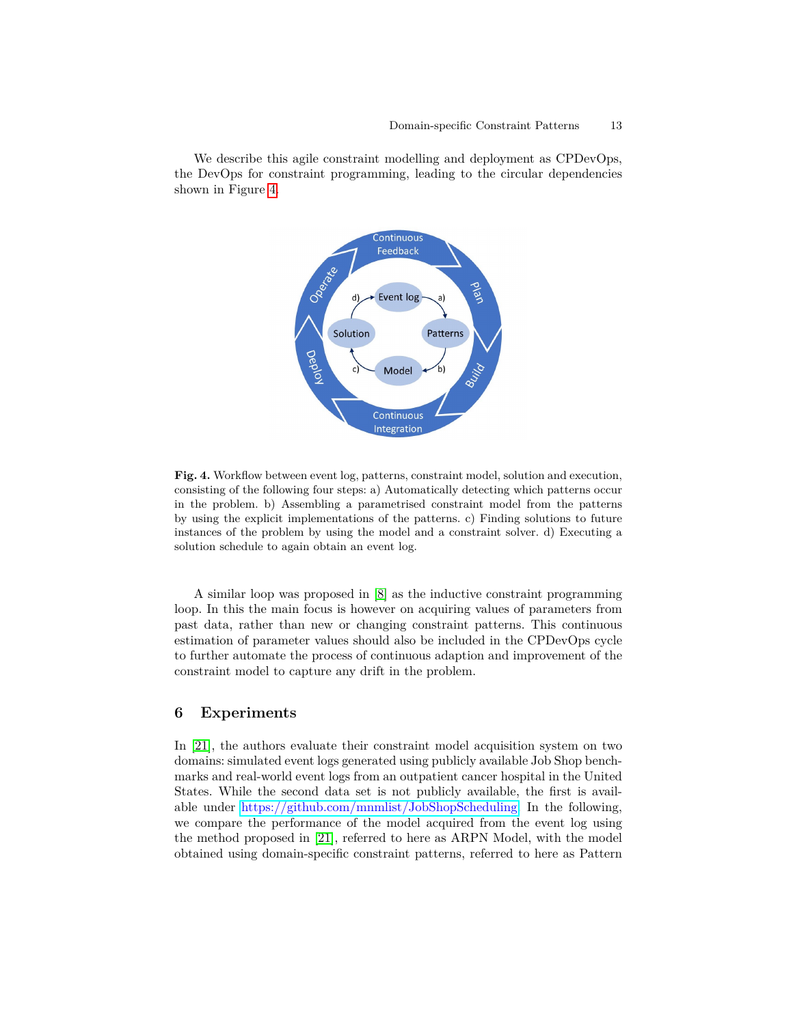We describe this agile constraint modelling and deployment as CPDevOps, the DevOps for constraint programming, leading to the circular dependencies shown in Figure [4.](#page-12-1)



<span id="page-12-1"></span>**Fig. 4.** Workflow between event log, patterns, constraint model, solution and execution, consisting of the following four steps: a) Automatically detecting which patterns occur in the problem. b) Assembling a parametrised constraint model from the patterns by using the explicit implementations of the patterns. c) Finding solutions to future instances of the problem by using the model and a constraint solver. d) Executing a solution schedule to again obtain an event log.

A similar loop was proposed in [\[8\]](#page-14-8) as the inductive constraint programming loop. In this the main focus is however on acquiring values of parameters from past data, rather than new or changing constraint patterns. This continuous estimation of parameter values should also be included in the CPDevOps cycle to further automate the process of continuous adaption and improvement of the constraint model to capture any drift in the problem.

### <span id="page-12-0"></span>**6 Experiments**

In [\[21\]](#page-15-10), the authors evaluate their constraint model acquisition system on two domains: simulated event logs generated using publicly available Job Shop benchmarks and real-world event logs from an outpatient cancer hospital in the United States. While the second data set is not publicly available, the first is available under [https://github.com/mnmlist/JobShopScheduling.](https://github.com/mnmlist/JobShopScheduling) In the following, we compare the performance of the model acquired from the event log using the method proposed in [\[21\]](#page-15-10), referred to here as ARPN Model, with the model obtained using domain-specific constraint patterns, referred to here as Pattern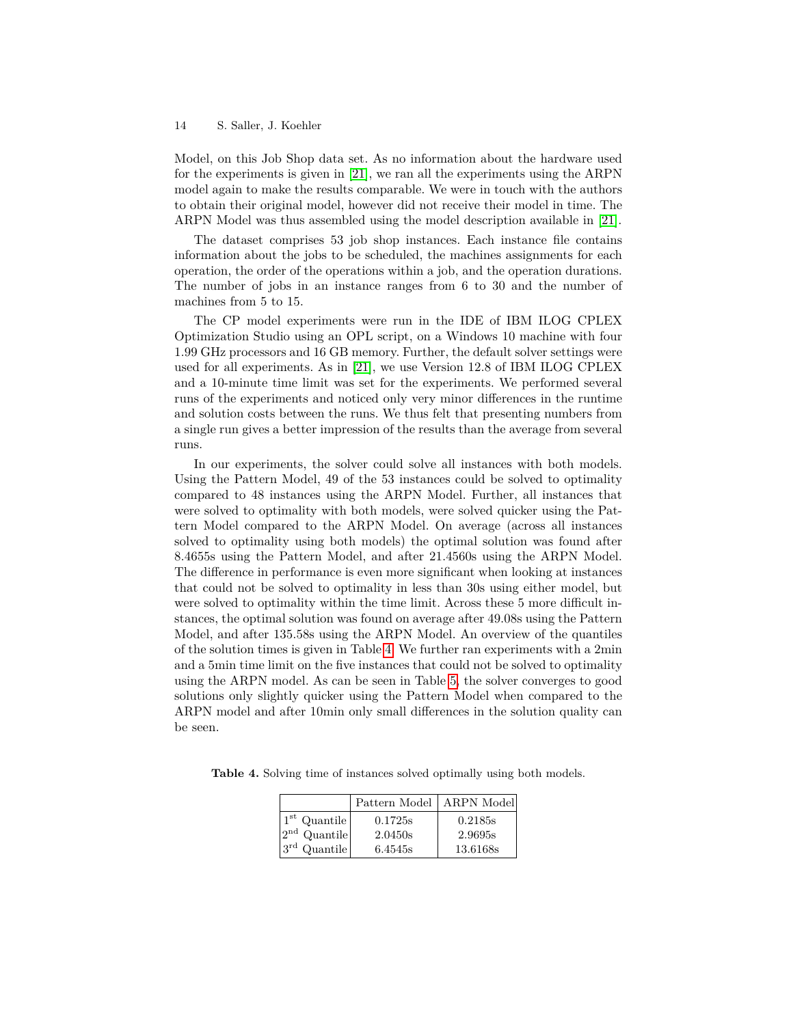Model, on this Job Shop data set. As no information about the hardware used for the experiments is given in [\[21\]](#page-15-10), we ran all the experiments using the ARPN model again to make the results comparable. We were in touch with the authors to obtain their original model, however did not receive their model in time. The ARPN Model was thus assembled using the model description available in [\[21\]](#page-15-10).

The dataset comprises 53 job shop instances. Each instance file contains information about the jobs to be scheduled, the machines assignments for each operation, the order of the operations within a job, and the operation durations. The number of jobs in an instance ranges from 6 to 30 and the number of machines from 5 to 15.

The CP model experiments were run in the IDE of IBM ILOG CPLEX Optimization Studio using an OPL script, on a Windows 10 machine with four 1.99 GHz processors and 16 GB memory. Further, the default solver settings were used for all experiments. As in [\[21\]](#page-15-10), we use Version 12.8 of IBM ILOG CPLEX and a 10-minute time limit was set for the experiments. We performed several runs of the experiments and noticed only very minor differences in the runtime and solution costs between the runs. We thus felt that presenting numbers from a single run gives a better impression of the results than the average from several runs.

In our experiments, the solver could solve all instances with both models. Using the Pattern Model, 49 of the 53 instances could be solved to optimality compared to 48 instances using the ARPN Model. Further, all instances that were solved to optimality with both models, were solved quicker using the Pattern Model compared to the ARPN Model. On average (across all instances solved to optimality using both models) the optimal solution was found after 8.4655s using the Pattern Model, and after 21.4560s using the ARPN Model. The difference in performance is even more significant when looking at instances that could not be solved to optimality in less than 30s using either model, but were solved to optimality within the time limit. Across these 5 more difficult instances, the optimal solution was found on average after 49.08s using the Pattern Model, and after 135.58s using the ARPN Model. An overview of the quantiles of the solution times is given in Table [4.](#page-13-0) We further ran experiments with a 2min and a 5min time limit on the five instances that could not be solved to optimality using the ARPN model. As can be seen in Table [5,](#page-14-9) the solver converges to good solutions only slightly quicker using the Pattern Model when compared to the ARPN model and after 10min only small differences in the solution quality can be seen.

<span id="page-13-0"></span>**Table 4.** Solving time of instances solved optimally using both models.

|                    | Pattern Model | <b>ARPN</b> Model |
|--------------------|---------------|-------------------|
| $1st$ Quantile     | 0.1725s       | 0.2185s           |
| $2nd$ Quantile     | 2.0450s       | 2.9695s           |
| $ 3^{rd}$ Quantile | 6.4545s       | 13.6168s          |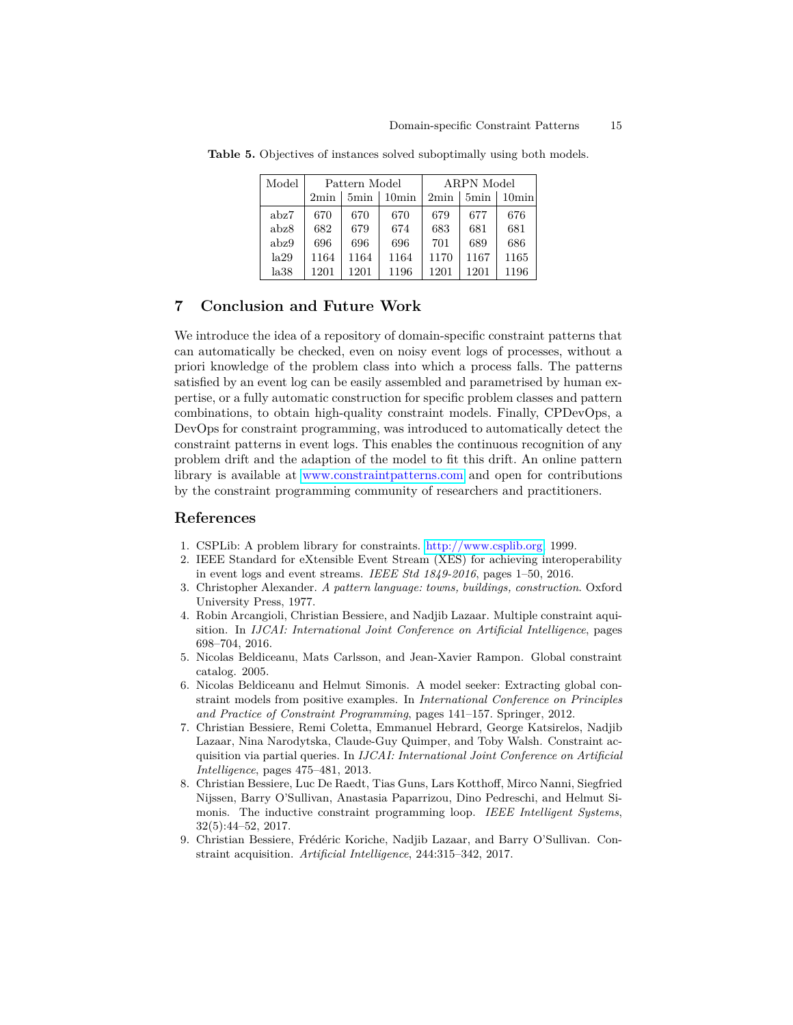| Model | Pattern Model |      |                |      | ARPN Model |       |
|-------|---------------|------|----------------|------|------------|-------|
|       | 2min          | 5min | $10\text{min}$ | 2min | 5min       | 10min |
| abz7  | 670           | 670  | 670            | 679  | 677        | 676   |
| abz8  | 682           | 679  | 674            | 683  | 681        | 681   |
| abz9  | 696           | 696  | 696            | 701  | 689        | 686   |
| la29  | 1164          | 1164 | 1164           | 1170 | 1167       | 1165  |
| la38  | 1201          | 1201 | 1196           | 1201 | 1201       | 1196  |

<span id="page-14-9"></span>**Table 5.** Objectives of instances solved suboptimally using both models.

# **7 Conclusion and Future Work**

We introduce the idea of a repository of domain-specific constraint patterns that can automatically be checked, even on noisy event logs of processes, without a priori knowledge of the problem class into which a process falls. The patterns satisfied by an event log can be easily assembled and parametrised by human expertise, or a fully automatic construction for specific problem classes and pattern combinations, to obtain high-quality constraint models. Finally, CPDevOps, a DevOps for constraint programming, was introduced to automatically detect the constraint patterns in event logs. This enables the continuous recognition of any problem drift and the adaption of the model to fit this drift. An online pattern library is available at <www.constraintpatterns.com> and open for contributions by the constraint programming community of researchers and practitioners.

### **References**

- <span id="page-14-5"></span>1. CSPLib: A problem library for constraints. [http://www.csplib.org,](http://www.csplib.org) 1999.
- <span id="page-14-7"></span>2. IEEE Standard for eXtensible Event Stream (XES) for achieving interoperability in event logs and event streams. *IEEE Std 1849-2016*, pages 1–50, 2016.
- <span id="page-14-0"></span>3. Christopher Alexander. *A pattern language: towns, buildings, construction*. Oxford University Press, 1977.
- <span id="page-14-1"></span>4. Robin Arcangioli, Christian Bessiere, and Nadjib Lazaar. Multiple constraint aquisition. In *IJCAI: International Joint Conference on Artificial Intelligence*, pages 698–704, 2016.
- <span id="page-14-6"></span>5. Nicolas Beldiceanu, Mats Carlsson, and Jean-Xavier Rampon. Global constraint catalog. 2005.
- <span id="page-14-4"></span>6. Nicolas Beldiceanu and Helmut Simonis. A model seeker: Extracting global constraint models from positive examples. In *International Conference on Principles and Practice of Constraint Programming*, pages 141–157. Springer, 2012.
- <span id="page-14-2"></span>7. Christian Bessiere, Remi Coletta, Emmanuel Hebrard, George Katsirelos, Nadjib Lazaar, Nina Narodytska, Claude-Guy Quimper, and Toby Walsh. Constraint acquisition via partial queries. In *IJCAI: International Joint Conference on Artificial Intelligence*, pages 475–481, 2013.
- <span id="page-14-8"></span>8. Christian Bessiere, Luc De Raedt, Tias Guns, Lars Kotthoff, Mirco Nanni, Siegfried Nijssen, Barry O'Sullivan, Anastasia Paparrizou, Dino Pedreschi, and Helmut Simonis. The inductive constraint programming loop. *IEEE Intelligent Systems*, 32(5):44–52, 2017.
- <span id="page-14-3"></span>9. Christian Bessiere, Frédéric Koriche, Nadjib Lazaar, and Barry O'Sullivan. Constraint acquisition. *Artificial Intelligence*, 244:315–342, 2017.